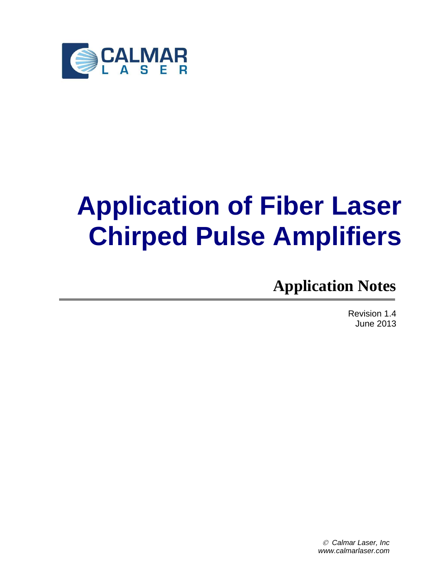

# **Application of Fiber Laser Chirped Pulse Amplifiers**

**Application Notes**

Revision 1.4 June 2013

 *Calmar Laser, Inc www.calmarlaser.com*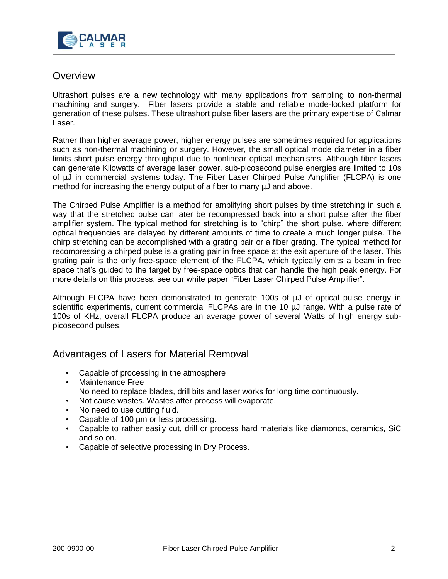

## **Overview**

Ultrashort pulses are a new technology with many applications from sampling to non-thermal machining and surgery. Fiber lasers provide a stable and reliable mode-locked platform for generation of these pulses. These ultrashort pulse fiber lasers are the primary expertise of Calmar Laser.

Rather than higher average power, higher energy pulses are sometimes required for applications such as non-thermal machining or surgery. However, the small optical mode diameter in a fiber limits short pulse energy throughput due to nonlinear optical mechanisms. Although fiber lasers can generate Kilowatts of average laser power, sub-picosecond pulse energies are limited to 10s of µJ in commercial systems today. The Fiber Laser Chirped Pulse Amplifier (FLCPA) is one method for increasing the energy output of a fiber to many µJ and above.

The Chirped Pulse Amplifier is a method for amplifying short pulses by time stretching in such a way that the stretched pulse can later be recompressed back into a short pulse after the fiber amplifier system. The typical method for stretching is to "chirp" the short pulse, where different optical frequencies are delayed by different amounts of time to create a much longer pulse. The chirp stretching can be accomplished with a grating pair or a fiber grating. The typical method for recompressing a chirped pulse is a grating pair in free space at the exit aperture of the laser. This grating pair is the only free-space element of the FLCPA, which typically emits a beam in free space that's guided to the target by free-space optics that can handle the high peak energy. For more details on this process, see our white paper "Fiber Laser Chirped Pulse Amplifier".

Although FLCPA have been demonstrated to generate 100s of  $\mu$ J of optical pulse energy in scientific experiments, current commercial FLCPAs are in the 10 µJ range. With a pulse rate of 100s of KHz, overall FLCPA produce an average power of several Watts of high energy subpicosecond pulses.

## Advantages of Lasers for Material Removal

- Capable of processing in the atmosphere
- Maintenance Free No need to replace blades, drill bits and laser works for long time continuously.
- Not cause wastes. Wastes after process will evaporate.
- No need to use cutting fluid.
- Capable of 100 µm or less processing.
- Capable to rather easily cut, drill or process hard materials like diamonds, ceramics, SiC and so on.
- Capable of selective processing in Dry Process.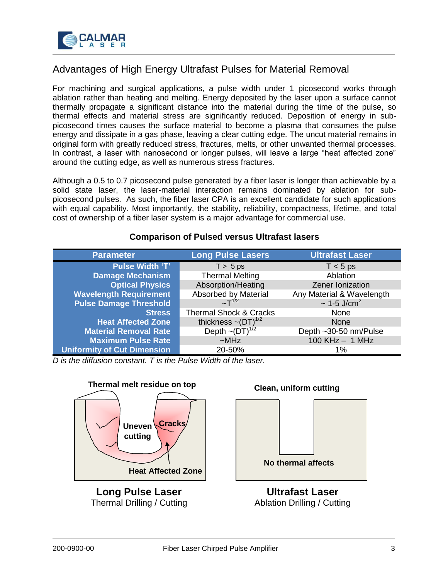

# Advantages of High Energy Ultrafast Pulses for Material Removal

For machining and surgical applications, a pulse width under 1 picosecond works through ablation rather than heating and melting. Energy deposited by the laser upon a surface cannot thermally propagate a significant distance into the material during the time of the pulse, so thermal effects and material stress are significantly reduced. Deposition of energy in subpicosecond times causes the surface material to become a plasma that consumes the pulse energy and dissipate in a gas phase, leaving a clear cutting edge. The uncut material remains in original form with greatly reduced stress, fractures, melts, or other unwanted thermal processes. In contrast, a laser with nanosecond or longer pulses, will leave a large "heat affected zone" around the cutting edge, as well as numerous stress fractures.

Although a 0.5 to 0.7 picosecond pulse generated by a fiber laser is longer than achievable by a solid state laser, the laser-material interaction remains dominated by ablation for subpicosecond pulses. As such, the fiber laser CPA is an excellent candidate for such applications with equal capability. Most importantly, the stability, reliability, compactness, lifetime, and total cost of ownership of a fiber laser system is a major advantage for commercial use.

#### **Comparison of Pulsed versus Ultrafast lasers**

| <b>Parameter</b>                   | <b>Long Pulse Lasers</b>                      | <b>Ultrafast Laser</b>       |  |
|------------------------------------|-----------------------------------------------|------------------------------|--|
| <b>Pulse Width 'T'</b>             | $T > 5$ ps                                    | $T < 5$ ps                   |  |
| <b>Damage Mechanism</b>            | <b>Thermal Melting</b>                        | Ablation                     |  |
| <b>Optical Physics</b>             | Absorption/Heating                            | Zener Ionization             |  |
| <b>Wavelength Requirement</b>      | Absorbed by Material                          | Any Material & Wavelength    |  |
| <b>Pulse Damage Threshold</b>      | $~\sim$ T <sup>1/2</sup>                      | $\sim$ 1-5 J/cm <sup>2</sup> |  |
| <b>Stress</b>                      | <b>Thermal Shock &amp; Cracks</b><br>None     |                              |  |
| <b>Heat Affected Zone</b>          | thickness $\sim (DT)^{1/2}$                   | None                         |  |
| <b>Material Removal Rate</b>       | Depth $\sim$ (DT) <sup><math>1/2</math></sup> | Depth ~30-50 nm/Pulse        |  |
| <b>Maximum Pulse Rate</b>          | $~\sim$ MHz                                   | $100$ KHz $- 1$ MHz          |  |
| <b>Uniformity of Cut Dimension</b> | 20-50%                                        | 1%                           |  |

*D is the diffusion constant. T is the Pulse Width of the laser.*



Thermal Drilling / Cutting

Ablation Drilling / Cutting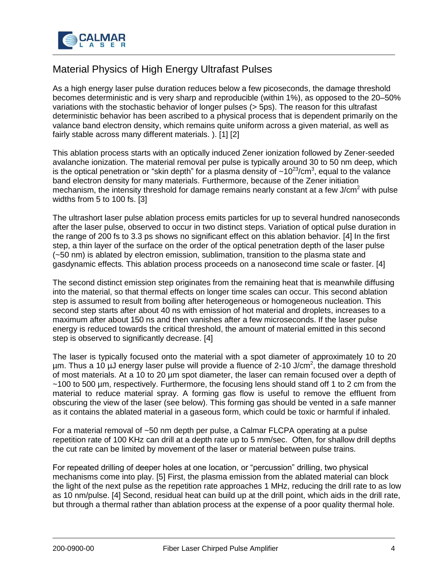

# Material Physics of High Energy Ultrafast Pulses

As a high energy laser pulse duration reduces below a few picoseconds, the damage threshold becomes deterministic and is very sharp and reproducible (within 1%), as opposed to the 20–50% variations with the stochastic behavior of longer pulses (> 5ps). The reason for this ultrafast deterministic behavior has been ascribed to a physical process that is dependent primarily on the valance band electron density, which remains quite uniform across a given material, as well as fairly stable across many different materials. ). [1] [2]

This ablation process starts with an optically induced Zener ionization followed by Zener-seeded avalanche ionization. The material removal per pulse is typically around 30 to 50 nm deep, which is the optical penetration or "skin depth" for a plasma density of  $\sim$ 10<sup>23</sup>/cm<sup>3</sup>, equal to the valance band electron density for many materials. Furthermore, because of the Zener initiation mechanism, the intensity threshold for damage remains nearly constant at a few  $J/cm<sup>2</sup>$  with pulse widths from 5 to 100 fs. [3]

The ultrashort laser pulse ablation process emits particles for up to several hundred nanoseconds after the laser pulse, observed to occur in two distinct steps. Variation of optical pulse duration in the range of 200 fs to 3.3 ps shows no significant effect on this ablation behavior. [4] In the first step, a thin layer of the surface on the order of the optical penetration depth of the laser pulse (~50 nm) is ablated by electron emission, sublimation, transition to the plasma state and gasdynamic effects. This ablation process proceeds on a nanosecond time scale or faster. [4]

The second distinct emission step originates from the remaining heat that is meanwhile diffusing into the material, so that thermal effects on longer time scales can occur. This second ablation step is assumed to result from boiling after heterogeneous or homogeneous nucleation. This second step starts after about 40 ns with emission of hot material and droplets, increases to a maximum after about 150 ns and then vanishes after a few microseconds. If the laser pulse energy is reduced towards the critical threshold, the amount of material emitted in this second step is observed to significantly decrease. [4]

The laser is typically focused onto the material with a spot diameter of approximately 10 to 20  $\mu$ m. Thus a 10  $\mu$ J energy laser pulse will provide a fluence of 2-10 J/cm<sup>2</sup>, the damage threshold of most materials. At a 10 to 20 µm spot diameter, the laser can remain focused over a depth of  $\sim$ 100 to 500 µm, respectively. Furthermore, the focusing lens should stand off 1 to 2 cm from the material to reduce material spray. A forming gas flow is useful to remove the effluent from obscuring the view of the laser (see below). This forming gas should be vented in a safe manner as it contains the ablated material in a gaseous form, which could be toxic or harmful if inhaled.

For a material removal of ~50 nm depth per pulse, a Calmar FLCPA operating at a pulse repetition rate of 100 KHz can drill at a depth rate up to 5 mm/sec. Often, for shallow drill depths the cut rate can be limited by movement of the laser or material between pulse trains.

For repeated drilling of deeper holes at one location, or "percussion" drilling, two physical mechanisms come into play. [5] First, the plasma emission from the ablated material can block the light of the next pulse as the repetition rate approaches 1 MHz, reducing the drill rate to as low as 10 nm/pulse. [4] Second, residual heat can build up at the drill point, which aids in the drill rate, but through a thermal rather than ablation process at the expense of a poor quality thermal hole.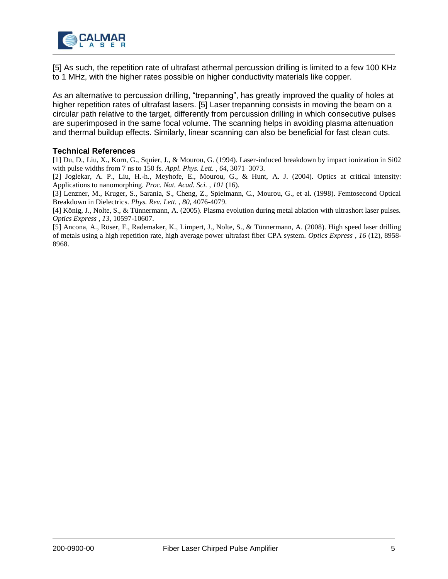

[5] As such, the repetition rate of ultrafast athermal percussion drilling is limited to a few 100 KHz to 1 MHz, with the higher rates possible on higher conductivity materials like copper.

As an alternative to percussion drilling, "trepanning", has greatly improved the quality of holes at higher repetition rates of ultrafast lasers. [5] Laser trepanning consists in moving the beam on a circular path relative to the target, differently from percussion drilling in which consecutive pulses are superimposed in the same focal volume. The scanning helps in avoiding plasma attenuation and thermal buildup effects. Similarly, linear scanning can also be beneficial for fast clean cuts.

#### **Technical References**

[1] Du, D., Liu, X., Korn, G., Squier, J., & Mourou, G. (1994). Laser-induced breakdown by impact ionization in Si02 with pulse widths from 7 ns to 150 fs. *Appl. Phys. Lett. , 64*, 3071–3073.

[2] Joglekar, A. P., Liu, H.-h., Meyhofe, E., Mourou, G., & Hunt, A. J. (2004). Optics at critical intensity: Applications to nanomorphing. *Proc. Nat. Acad. Sci. , 101* (16).

[3] Lenzner, M., Kruger, S., Sarania, S., Cheng, Z., Spielmann, C., Mourou, G., et al. (1998). Femtosecond Optical Breakdown in Dielectrics. *Phys. Rev. Lett. , 80*, 4076-4079.

[4] König, J., Nolte, S., & Tünnermann, A. (2005). Plasma evolution during metal ablation with ultrashort laser pulses. *Optics Express , 13*, 10597-10607.

[5] Ancona, A., Röser, F., Rademaker, K., Limpert, J., Nolte, S., & Tünnermann, A. (2008). High speed laser drilling of metals using a high repetition rate, high average power ultrafast fiber CPA system. *Optics Express , 16* (12), 8958- 8968.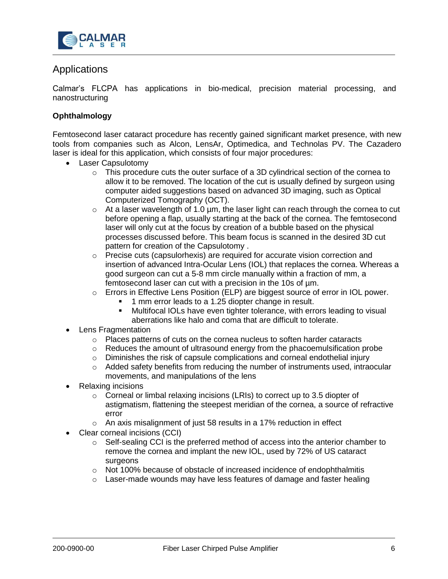

## Applications

Calmar's FLCPA has applications in bio-medical, precision material processing, and nanostructuring

#### **Ophthalmology**

Femtosecond laser cataract procedure has recently gained significant market presence, with new tools from companies such as Alcon, LensAr, Optimedica, and Technolas PV. The Cazadero laser is ideal for this application, which consists of four major procedures:

- Laser Capsulotomy
	- $\circ$  This procedure cuts the outer surface of a 3D cylindrical section of the cornea to allow it to be removed. The location of the cut is usually defined by surgeon using computer aided suggestions based on advanced 3D imaging, such as Optical Computerized Tomography (OCT).
	- $\circ$  At a laser wavelength of 1.0 µm, the laser light can reach through the cornea to cut before opening a flap, usually starting at the back of the cornea. The femtosecond laser will only cut at the focus by creation of a bubble based on the physical processes discussed before. This beam focus is scanned in the desired 3D cut pattern for creation of the Capsulotomy .
	- $\circ$  Precise cuts (capsulorhexis) are required for accurate vision correction and insertion of advanced Intra-Ocular Lens (IOL) that replaces the cornea. Whereas a good surgeon can cut a 5-8 mm circle manually within a fraction of mm, a femtosecond laser can cut with a precision in the 10s of µm.
	- o Errors in Effective Lens Position (ELP) are biggest source of error in IOL power.
		- 1 mm error leads to a 1.25 diopter change in result.
		- Multifocal IOLs have even tighter tolerance, with errors leading to visual aberrations like halo and coma that are difficult to tolerate.
- Lens Fragmentation
	- $\circ$  Places patterns of cuts on the cornea nucleus to soften harder cataracts
	- $\circ$  Reduces the amount of ultrasound energy from the phacoemulsification probe
	- o Diminishes the risk of capsule complications and corneal endothelial injury
	- $\circ$  Added safety benefits from reducing the number of instruments used, intraocular movements, and manipulations of the lens
- Relaxing incisions
	- o Corneal or limbal relaxing incisions (LRIs) to correct up to 3.5 diopter of astigmatism, flattening the steepest meridian of the cornea, a source of refractive error
	- $\circ$  An axis misalignment of just 58 results in a 17% reduction in effect
- Clear corneal incisions (CCI)
	- $\circ$  Self-sealing CCI is the preferred method of access into the anterior chamber to remove the cornea and implant the new IOL, used by 72% of US cataract surgeons
	- o Not 100% because of obstacle of increased incidence of endophthalmitis
	- $\circ$  Laser-made wounds may have less features of damage and faster healing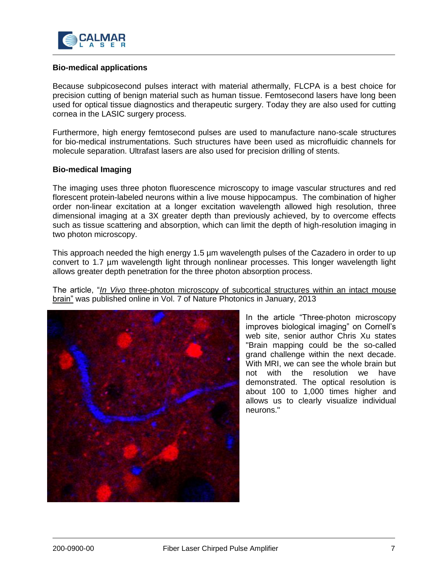

#### **Bio-medical applications**

Because subpicosecond pulses interact with material athermally, FLCPA is a best choice for precision cutting of benign material such as human tissue. Femtosecond lasers have long been used for optical tissue diagnostics and therapeutic surgery. Today they are also used for cutting cornea in the LASIC surgery process.

Furthermore, high energy femtosecond pulses are used to manufacture nano-scale structures for bio-medical instrumentations. Such structures have been used as microfluidic channels for molecule separation. Ultrafast lasers are also used for precision drilling of stents.

#### **Bio-medical Imaging**

The imaging uses three photon fluorescence microscopy to image vascular structures and red florescent protein-labeled neurons within a live mouse hippocampus. The combination of higher order non-linear excitation at a longer excitation wavelength allowed high resolution, three dimensional imaging at a 3X greater depth than previously achieved, by to overcome effects such as tissue scattering and absorption, which can limit the depth of high-resolution imaging in two photon microscopy.

This approach needed the high energy 1.5 µm wavelength pulses of the Cazadero in order to up convert to 1.7 µm wavelength light through nonlinear processes. This longer wavelength light allows greater depth penetration for the three photon absorption process.

The article, "*In Vivo* three-photon microscopy of subcortical structures within an intact mouse brain" was published online in Vol. 7 of Nature Photonics in January, 2013



In the article "Three-photon microscopy improves biological imaging" on Cornell's web site, senior author Chris Xu states "Brain mapping could be the so-called grand challenge within the next decade. With MRI, we can see the whole brain but not with the resolution we have demonstrated. The optical resolution is about 100 to 1,000 times higher and allows us to clearly visualize individual neurons."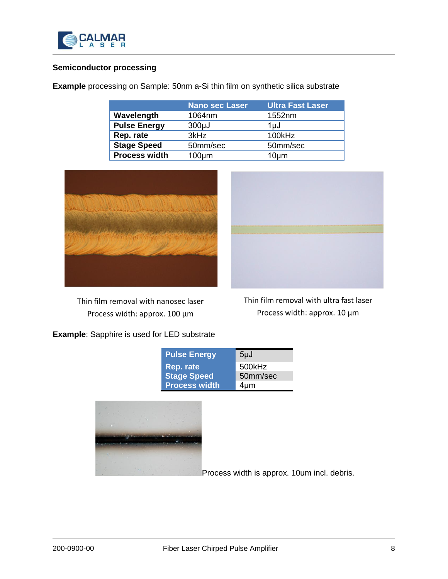

#### **Semiconductor processing**

**Example** processing on Sample: 50nm a-Si thin film on synthetic silica substrate

|                      | <b>Nano sec Laser</b> | Ultra Fast Laser  |  |
|----------------------|-----------------------|-------------------|--|
| Wavelength           | 1064nm                | 1552nm            |  |
| <b>Pulse Energy</b>  | $300\mu$ J            | 1uJ               |  |
| Rep. rate            | 3kHz                  | 100kHz            |  |
| <b>Stage Speed</b>   | 50mm/sec              | 50mm/sec          |  |
| <b>Process width</b> | $100 \mu m$           | 10 <sub>µ</sub> m |  |



Thin film removal with nanosec laser Process width: approx. 100 µm



Thin film removal with ultra fast laser Process width: approx. 10 µm

### **Example**: Sapphire is used for LED substrate

| <b>Pulse Energy</b>  | $5\mu$ J  |
|----------------------|-----------|
| Rep. rate            | 500kHz    |
| <b>Stage Speed</b>   | 50mm/sec  |
| <b>Process width</b> | $4 \mu m$ |



Process width is approx. 10um incl. debris.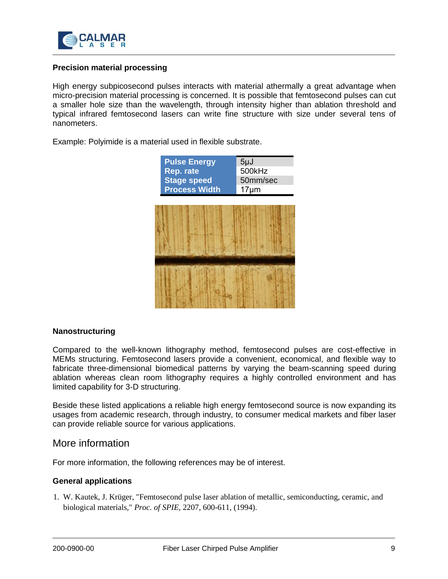

#### **Precision material processing**

High energy subpicosecond pulses interacts with material athermally a great advantage when micro-precision material processing is concerned. It is possible that femtosecond pulses can cut a smaller hole size than the wavelength, through intensity higher than ablation threshold and typical infrared femtosecond lasers can write fine structure with size under several tens of nanometers.

Example: Polyimide is a material used in flexible substrate.

| <b>Pulse Energy</b><br>Rep. rate<br><b>Stage speed</b><br><b>Process Width</b> | $5\mu$ J<br>500kHz<br>50mm/sec<br>$17 \mu m$ |  |
|--------------------------------------------------------------------------------|----------------------------------------------|--|
|                                                                                |                                              |  |
|                                                                                |                                              |  |

#### **Nanostructuring**

Compared to the well-known lithography method, femtosecond pulses are cost-effective in MEMs structuring. Femtosecond lasers provide a convenient, economical, and flexible way to fabricate three-dimensional biomedical patterns by varying the beam-scanning speed during ablation whereas clean room lithography requires a highly controlled environment and has limited capability for 3-D structuring.

Beside these listed applications a reliable high energy femtosecond source is now expanding its usages from academic research, through industry, to consumer medical markets and fiber laser can provide reliable source for various applications.

#### More information

For more information, the following references may be of interest.

#### **General applications**

1. W. Kautek, J. Krüger, "Femtosecond pulse laser ablation of metallic, semiconducting, ceramic, and biological materials," *Proc. of SPIE*, 2207, 600-611, (1994).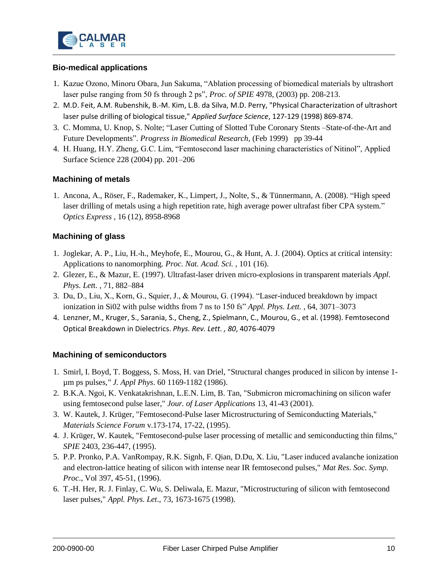

#### **Bio-medical applications**

- 1. Kazue Ozono, Minoru Obara, Jun Sakuma, "Ablation processing of biomedical materials by ultrashort laser pulse ranging from 50 fs through 2 ps", *Proc. of SPIE* 4978, (2003) pp. 208-213.
- 2. M.D. Feit, A.M. Rubenshik, B.-M. Kim, L.B. da Silva, M.D. Perry, "Physical Characterization of ultrashort laser pulse drilling of biological tissue," *Applied Surface Science*, 127-129 (1998) 869-874.
- 3. C. Momma, U. Knop, S. Nolte; "Laser Cutting of Slotted Tube Coronary Stents –State-of-the-Art and Future Developments". *Progress in Biomedical Research,* (Feb 1999) pp 39-44
- 4. H. Huang, H.Y. Zheng, G.C. Lim, "Femtosecond laser machining characteristics of Nitinol", Applied Surface Science 228 (2004) pp. 201–206

#### **Machining of metals**

1. Ancona, A., Röser, F., Rademaker, K., Limpert, J., Nolte, S., & Tünnermann, A. (2008). "High speed laser drilling of metals using a high repetition rate, high average power ultrafast fiber CPA system." *Optics Express* , 16 (12), 8958-8968

#### **Machining of glass**

- 1. Joglekar, A. P., Liu, H.-h., Meyhofe, E., Mourou, G., & Hunt, A. J. (2004). Optics at critical intensity: Applications to nanomorphing. *Proc. Nat. Acad. Sci.* , 101 (16).
- 2. Glezer, E., & Mazur, E. (1997). Ultrafast-laser driven micro-explosions in transparent materials *Appl. Phys. Let*t. , 71, 882–884
- 3. Du, D., Liu, X., Korn, G., Squier, J., & Mourou, G. (1994). "Laser-induced breakdown by impact ionization in Si02 with pulse widths from 7 ns to 150 fs" *Appl. Phys. Lett.* , 64, 3071–3073
- 4. Lenzner, M., Kruger, S., Sarania, S., Cheng, Z., Spielmann, C., Mourou, G., et al. (1998). Femtosecond Optical Breakdown in Dielectrics. *Phys. Rev. Lett. , 80*, 4076-4079

#### **Machining of semiconductors**

- 1. Smirl, I. Boyd, T. Boggess, S. Moss, H. van Driel, "Structural changes produced in silicon by intense 1 µm ps pulses*," J. Appl Phys*. 60 1169-1182 (1986).
- 2. B.K.A. Ngoi, K. Venkatakrishnan, L.E.N. Lim, B. Tan, "Submicron micromachining on silicon wafer using femtosecond pulse laser," *Jour. of Laser Applications* 13, 41-43 (2001).
- 3. W. Kautek, J. Krüger, "Femtosecond-Pulse laser Microstructuring of Semiconducting Materials," *Materials Science Forum* v.173-174, 17-22, (1995).
- 4. J. Krüger, W. Kautek, "Femtosecond-pulse laser processing of metallic and semiconducting thin films," *SPIE* 2403, 236-447, (1995).
- 5. P.P. Pronko, P.A. VanRompay, R.K. Signh, F. Qian, D.Du, X. Liu, "Laser induced avalanche ionization and electron-lattice heating of silicon with intense near IR femtosecond pulses," *Mat Res. Soc. Symp. Proc*., Vol 397, 45-51, (1996).
- 6. T.-H. Her, R. J. Finlay, C. Wu, S. Deliwala, E. Mazur, "Microstructuring of silicon with femtosecond laser pulses," *Appl. Phys. Let*., 73, 1673-1675 (1998).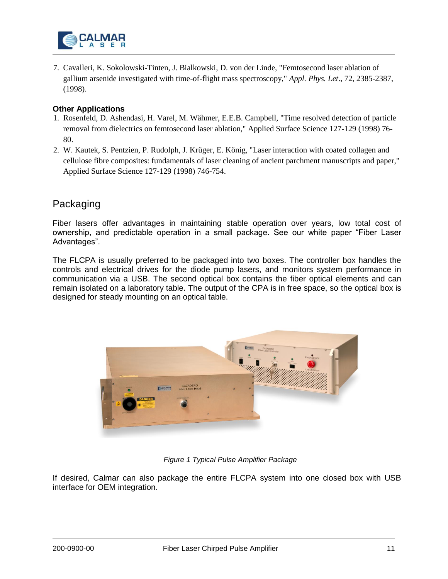

7. Cavalleri, K. Sokolowski-Tinten, J. Bialkowski, D. von der Linde, "Femtosecond laser ablation of gallium arsenide investigated with time-of-flight mass spectroscopy," *Appl. Phys. Let*., 72, 2385-2387, (1998).

#### **Other Applications**

- 1. Rosenfeld, D. Ashendasi, H. Varel, M. Wähmer, E.E.B. Campbell, "Time resolved detection of particle removal from dielectrics on femtosecond laser ablation," Applied Surface Science 127-129 (1998) 76- 80.
- 2. W. Kautek, S. Pentzien, P. Rudolph, J. Krüger, E. König, "Laser interaction with coated collagen and cellulose fibre composites: fundamentals of laser cleaning of ancient parchment manuscripts and paper," Applied Surface Science 127-129 (1998) 746-754.

## Packaging

Fiber lasers offer advantages in maintaining stable operation over years, low total cost of ownership, and predictable operation in a small package. See our white paper "Fiber Laser Advantages".

The FLCPA is usually preferred to be packaged into two boxes. The controller box handles the controls and electrical drives for the diode pump lasers, and monitors system performance in communication via a USB. The second optical box contains the fiber optical elements and can remain isolated on a laboratory table. The output of the CPA is in free space, so the optical box is designed for steady mounting on an optical table.



*Figure 1 Typical Pulse Amplifier Package*

If desired, Calmar can also package the entire FLCPA system into one closed box with USB interface for OEM integration.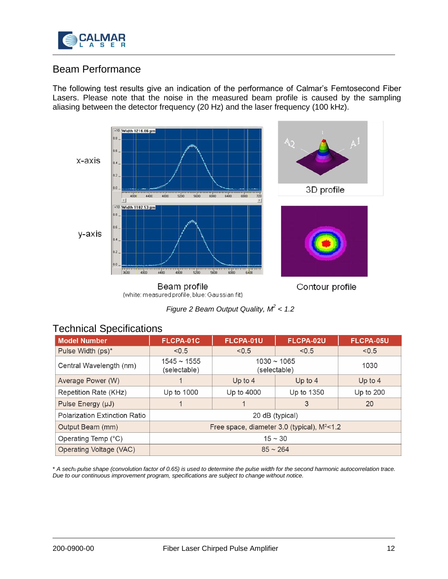

# Beam Performance

The following test results give an indication of the performance of Calmar's Femtosecond Fiber Lasers. Please note that the noise in the measured beam profile is caused by the sampling aliasing between the detector frequency (20 Hz) and the laser frequency (100 kHz).



(white: measured profile, blue: Gaussian fit)

*Figure 2 Beam Output Quality, M<sup>2</sup> < 1.2*

# Technical Specifications

| <b>Model Number</b>                  | FLCPA-01C                                         | FLCPA-01U                        | FLCPA-02U  | FLCPA-05U |
|--------------------------------------|---------------------------------------------------|----------------------------------|------------|-----------|
| Pulse Width (ps)*                    | < 0.5                                             | < 0.5                            | < 0.5      | < 0.5     |
| Central Wavelength (nm)              | $1545 \sim 1555$<br>(selectable)                  | $1030 \sim 1065$<br>(selectable) |            | 1030      |
| Average Power (W)                    |                                                   | Up to $4$                        | Up to $4$  | Up to $4$ |
| Repetition Rate (KHz)                | Up to 1000                                        | Up to 4000                       | Up to 1350 | Up to 200 |
| Pulse Energy (µJ)                    |                                                   |                                  | 3          | 20        |
| <b>Polarization Extinction Ratio</b> | 20 dB (typical)                                   |                                  |            |           |
| Output Beam (mm)                     | Free space, diameter $3.0$ (typical), $M^2 < 1.2$ |                                  |            |           |
| Operating Temp (°C)                  | $15 \sim 30$                                      |                                  |            |           |
| Operating Voltage (VAC)              | $85 \sim 264$                                     |                                  |            |           |

\* *A sech2 pulse shape (convolution factor of 0.65) is used to determine the pulse width for the second harmonic autocorrelation trace. Due to our continuous improvement program, specifications are subject to change without notice.*